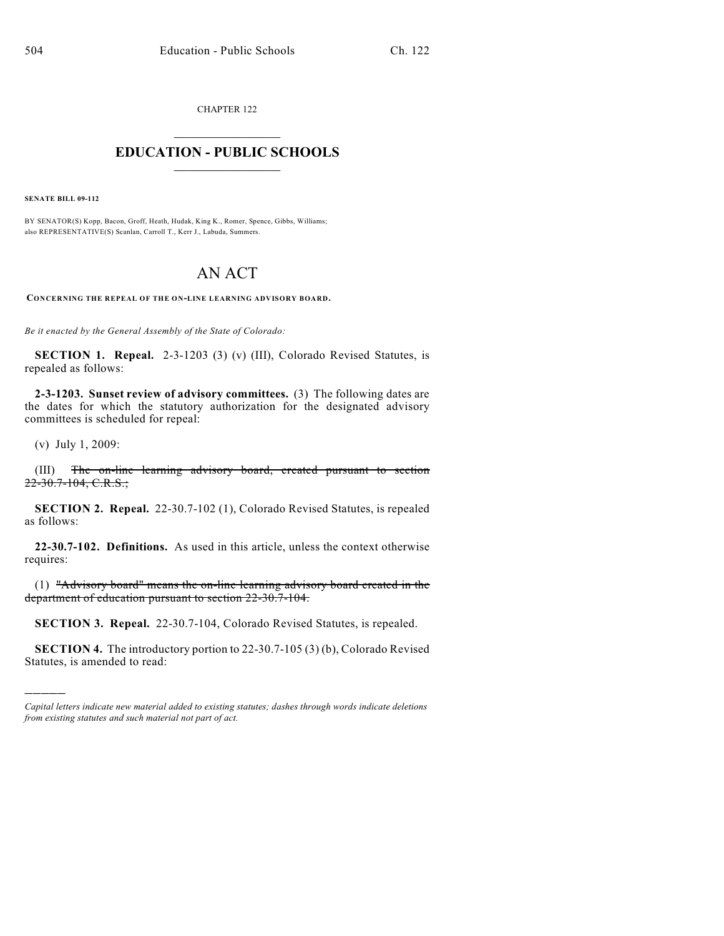CHAPTER 122  $\overline{\phantom{a}}$  . The set of the set of the set of the set of the set of the set of the set of the set of the set of the set of the set of the set of the set of the set of the set of the set of the set of the set of the set o

## **EDUCATION - PUBLIC SCHOOLS**  $\_$   $\_$   $\_$   $\_$   $\_$   $\_$   $\_$   $\_$   $\_$

**SENATE BILL 09-112**

BY SENATOR(S) Kopp, Bacon, Groff, Heath, Hudak, King K., Romer, Spence, Gibbs, Williams; also REPRESENTATIVE(S) Scanlan, Carroll T., Kerr J., Labuda, Summers.

## AN ACT

**CONCERNING THE REPEAL OF THE ON-LINE LEARNING ADVISORY BOARD.**

*Be it enacted by the General Assembly of the State of Colorado:*

**SECTION 1. Repeal.** 2-3-1203 (3) (v) (III), Colorado Revised Statutes, is repealed as follows:

**2-3-1203. Sunset review of advisory committees.** (3) The following dates are the dates for which the statutory authorization for the designated advisory committees is scheduled for repeal:

(v) July 1, 2009:

)))))

(III) The on-line learning advisory board, created pursuant to section  $22 - 30.7 - 104$ , C.R.S.;

**SECTION 2. Repeal.** 22-30.7-102 (1), Colorado Revised Statutes, is repealed as follows:

**22-30.7-102. Definitions.** As used in this article, unless the context otherwise requires:

(1) "Advisory board" means the on-line learning advisory board created in the department of education pursuant to section 22-30.7-104.

**SECTION 3. Repeal.** 22-30.7-104, Colorado Revised Statutes, is repealed.

**SECTION 4.** The introductory portion to 22-30.7-105 (3) (b), Colorado Revised Statutes, is amended to read:

*Capital letters indicate new material added to existing statutes; dashes through words indicate deletions from existing statutes and such material not part of act.*